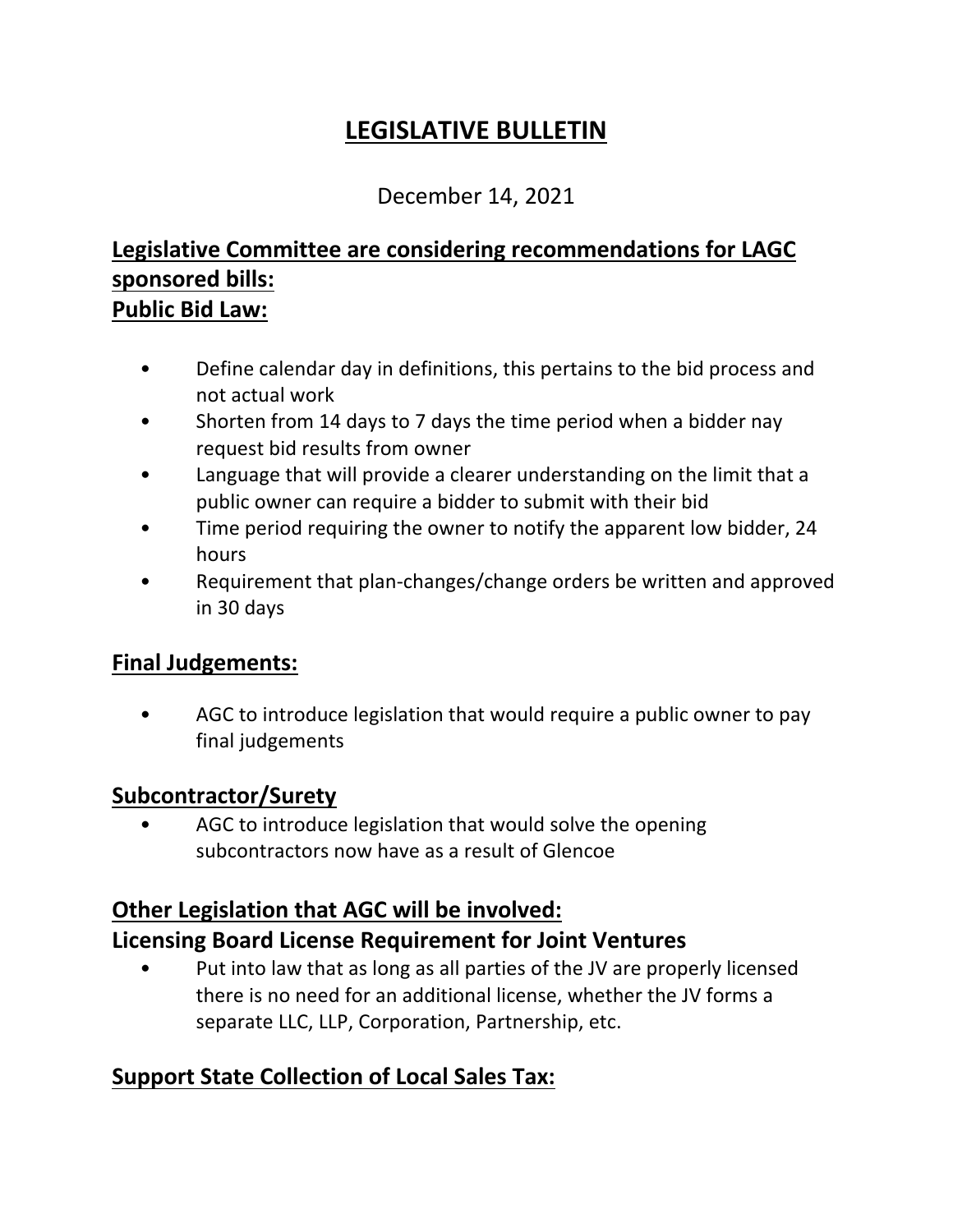# **LEGISLATIVE BULLETIN**

#### December 14, 2021

## **Legislative Committee are considering recommendations for LAGC sponsored bills: Public Bid Law:**

- Define calendar day in definitions, this pertains to the bid process and not actual work
- Shorten from 14 days to 7 days the time period when a bidder nay request bid results from owner
- Language that will provide a clearer understanding on the limit that a public owner can require a bidder to submit with their bid
- Time period requiring the owner to notify the apparent low bidder, 24 hours
- Requirement that plan-changes/change orders be written and approved in 30 days

### **Final Judgements:**

• AGC to introduce legislation that would require a public owner to pay final judgements

### **Subcontractor/Surety**

• AGC to introduce legislation that would solve the opening subcontractors now have as a result of Glencoe

### **Other Legislation that AGC will be involved:**

#### **Licensing Board License Requirement for Joint Ventures**

• Put into law that as long as all parties of the JV are properly licensed there is no need for an additional license, whether the JV forms a separate LLC, LLP, Corporation, Partnership, etc.

## **Support State Collection of Local Sales Tax:**